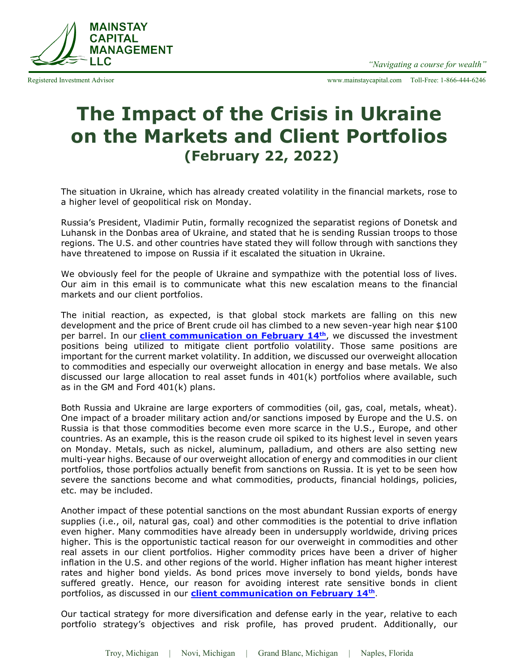Registered Investment Advisor www.mainstaycapital.com Toll-Free: 1-866-444-6246

## **MAINSTAY CAPITAL MANAGEMENT** LLC

## **The Impact of the Crisis in Ukraine on the Markets and Client Portfolios (February 22, 2022)**

The situation in Ukraine, which has already created volatility in the financial markets, rose to a higher level of geopolitical risk on Monday.

Russia's President, Vladimir Putin, formally recognized the separatist regions of Donetsk and Luhansk in the Donbas area of Ukraine, and stated that he is sending Russian troops to those regions. The U.S. and other countries have stated they will follow through with sanctions they have threatened to impose on Russia if it escalated the situation in Ukraine.

We obviously feel for the people of Ukraine and sympathize with the potential loss of lives. Our aim in this email is to communicate what this new escalation means to the financial markets and our client portfolios.

The initial reaction, as expected, is that global stock markets are falling on this new development and the price of Brent crude oil has climbed to a new seven-year high near \$100 per barrel. In our **[client communication on February 14](http://www.mainstaycapital.com/pdf/2.14.22.pdf)th**, we discussed the investment positions being utilized to mitigate client portfolio volatility. Those same positions are important for the current market volatility. In addition, we discussed our overweight allocation to commodities and especially our overweight allocation in energy and base metals. We also discussed our large allocation to real asset funds in 401(k) portfolios where available, such as in the GM and Ford 401(k) plans.

Both Russia and Ukraine are large exporters of commodities (oil, gas, coal, metals, wheat). One impact of a broader military action and/or sanctions imposed by Europe and the U.S. on Russia is that those commodities become even more scarce in the U.S., Europe, and other countries. As an example, this is the reason crude oil spiked to its highest level in seven years on Monday. Metals, such as nickel, aluminum, palladium, and others are also setting new multi-year highs. Because of our overweight allocation of energy and commodities in our client portfolios, those portfolios actually benefit from sanctions on Russia. It is yet to be seen how severe the sanctions become and what commodities, products, financial holdings, policies, etc. may be included.

Another impact of these potential sanctions on the most abundant Russian exports of energy supplies (i.e., oil, natural gas, coal) and other commodities is the potential to drive inflation even higher. Many commodities have already been in undersupply worldwide, driving prices higher. This is the opportunistic tactical reason for our overweight in commodities and other real assets in our client portfolios. Higher commodity prices have been a driver of higher inflation in the U.S. and other regions of the world. Higher inflation has meant higher interest rates and higher bond yields. As bond prices move inversely to bon[d y](http://www.mainstaycapital.com/pdf/ClientCommunication.2.14.22.pdf)ields, bonds have suffered greatly. Hence, our reason for avoiding interest rate sensitive bonds in client portfolios, as discussed in our **client [communication on February 14](http://www.mainstaycapital.com/pdf/2.14.22.pdf)th** .

Our tactical strategy for more diversification and defense early in the year, relative to each portfolio strategy's objectives and risk profile, has proved prudent. Additionally, our